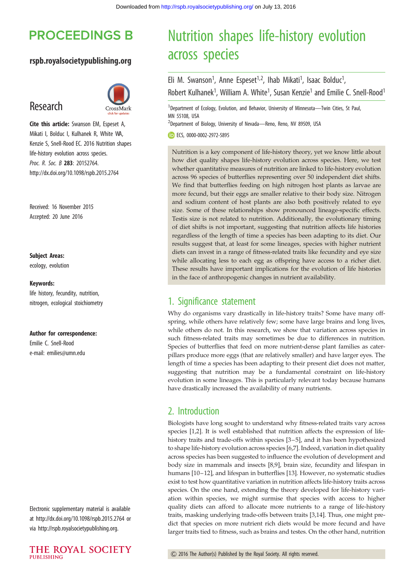# **PROCEEDINGS B**

#### rspb.royalsocietypublishing.org

# Research



Cite this article: Swanson EM, Espeset A, Mikati I, Bolduc I, Kulhanek R, White WA, Kenzie S, Snell-Rood EC. 2016 Nutrition shapes life-history evolution across species. Proc. R. Soc. B 283: 20152764. http://dx.doi.org/10.1098/rspb.2015.2764

Received: 16 November 2015 Accepted: 20 June 2016

#### Subject Areas:

ecology, evolution

#### Keywords:

life history, fecundity, nutrition, nitrogen, ecological stoichiometry

#### Author for correspondence:

Emilie C. Snell-Rood e-mail: [emilies@umn.edu](mailto:emilies@umn.edu)

Electronic supplementary material is available at<http://dx.doi.org/10.1098/rspb.2015.2764> or via<http://rspb.royalsocietypublishing.org>.



# Nutrition shapes life-history evolution across species

Eli M. Swanson<sup>1</sup>, Anne Espeset<sup>1,2</sup>, Ihab Mikati<sup>1</sup>, Isaac Bolduc<sup>1</sup> , Robert Kulhanek<sup>1</sup>, William A. White<sup>1</sup>, Susan Kenzie<sup>1</sup> and Emilie C. Snell-Rood<sup>1</sup>

<sup>1</sup>Department of Ecology, Evolution, and Behavior, University of Minnesota-Twin Cities, St Paul, MN 55108, USA

2 Department of Biology, University of Nevada—Reno, Reno, NV 89509, USA

ECS, [0000-0002-2972-5895](http://orcid.org/0000-0002-2972-5895)

Nutrition is a key component of life-history theory, yet we know little about how diet quality shapes life-history evolution across species. Here, we test whether quantitative measures of nutrition are linked to life-history evolution across 96 species of butterflies representing over 50 independent diet shifts. We find that butterflies feeding on high nitrogen host plants as larvae are more fecund, but their eggs are smaller relative to their body size. Nitrogen and sodium content of host plants are also both positively related to eye size. Some of these relationships show pronounced lineage-specific effects. Testis size is not related to nutrition. Additionally, the evolutionary timing of diet shifts is not important, suggesting that nutrition affects life histories regardless of the length of time a species has been adapting to its diet. Our results suggest that, at least for some lineages, species with higher nutrient diets can invest in a range of fitness-related traits like fecundity and eye size while allocating less to each egg as offspring have access to a richer diet. These results have important implications for the evolution of life histories in the face of anthropogenic changes in nutrient availability.

## 1. Significance statement

Why do organisms vary drastically in life-history traits? Some have many offspring, while others have relatively few; some have large brains and long lives, while others do not. In this research, we show that variation across species in such fitness-related traits may sometimes be due to differences in nutrition. Species of butterflies that feed on more nutrient-dense plant families as caterpillars produce more eggs (that are relatively smaller) and have larger eyes. The length of time a species has been adapting to their present diet does not matter, suggesting that nutrition may be a fundamental constraint on life-history evolution in some lineages. This is particularly relevant today because humans have drastically increased the availability of many nutrients.

## 2. Introduction

Biologists have long sought to understand why fitness-related traits vary across species [[1](#page-6-0),[2](#page-6-0)]. It is well established that nutrition affects the expression of lifehistory traits and trade-offs within species [\[3](#page-6-0)–[5](#page-6-0)], and it has been hypothesized to shape life-history evolution across species [\[6](#page-6-0),[7](#page-6-0)]. Indeed, variation in diet quality across species has been suggested to influence the evolution of development and body size in mammals and insects [\[8,9\]](#page-6-0), brain size, fecundity and lifespan in humans [[10](#page-6-0)–[12\]](#page-6-0), and lifespan in butterflies [[13\]](#page-6-0). However, no systematic studies exist to test how quantitative variation in nutrition affects life-history traits across species. On the one hand, extending the theory developed for life-history variation within species, we might surmise that species with access to higher quality diets can afford to allocate more nutrients to a range of life-history traits, masking underlying trade-offs between traits [\[3,14\]](#page-6-0). Thus, one might predict that species on more nutrient rich diets would be more fecund and have larger traits tied to fitness, such as brains and testes. On the other hand, nutrition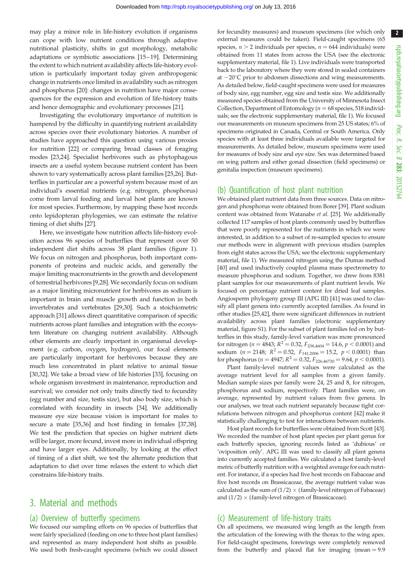may play a minor role in life-history evolution if organisms can cope with low nutrient conditions through adaptive nutritional plasticity, shifts in gut morphology, metabolic adaptations or symbiotic associations [[15](#page-6-0)–[19\]](#page-6-0). Determining the extent to which nutrient availability affects life-history evolution is particularly important today given anthropogenic change in nutrients once limited in availability such as nitrogen and phosphorus [[20\]](#page-6-0): changes in nutrition have major consequences for the expression and evolution of life-history traits and hence demographic and evolutionary processes [[21\]](#page-6-0).

Investigating the evolutionary importance of nutrition is hampered by the difficulty in quantifying nutrient availability across species over their evolutionary histories. A number of studies have approached this question using various proxies for nutrition [\[22](#page-6-0)] or comparing broad classes of foraging modes [[23,24\]](#page-6-0). Specialist herbivores such as phytophagous insects are a useful system because nutrient content has been shown to vary systematically across plant families [[25,26\]](#page-6-0). Butterflies in particular are a powerful system because most of an individual's essential nutrients (e.g. nitrogen, phosphorus) come from larval feeding and larval host plants are known for most species. Furthermore, by mapping these host records onto lepidopteran phylogenies, we can estimate the relative timing of diet shifts [\[27](#page-6-0)].

Here, we investigate how nutrition affects life-history evolution across 96 species of butterflies that represent over 50 independent diet shifts across 38 plant families ([figure 1](#page-2-0)). We focus on nitrogen and phosphorus, both important components of proteins and nucleic acids, and generally the major limiting macronutrients in the growth and development of terrestrial herbivores [\[9,](#page-6-0)[28\]](#page-7-0). We secondarily focus on sodium as a major limiting micronutrient for herbivores as sodium is important in brain and muscle growth and function in both invertebrates and vertebrates [[29](#page-7-0),[30](#page-7-0)]. Such a stoichiometric approach [[31](#page-7-0)] allows direct quantitative comparison of specific nutrients across plant families and integration with the ecosystem literature on changing nutrient availability. Although other elements are clearly important in organismal development (e.g. carbon, oxygen, hydrogen), our focal elements are particularly important for herbivores because they are much less concentrated in plant relative to animal tissue [\[30,32](#page-7-0)]. We take a broad view of life histories [[33\]](#page-7-0), focusing on whole organism investment in maintenance, reproduction and survival; we consider not only traits directly tied to fecundity (egg number and size, testis size), but also body size, which is correlated with fecundity in insects [\[34\]](#page-7-0). We additionally measure eye size because vision is important for males to secure a mate [[35,36\]](#page-7-0) and host finding in females [[37](#page-7-0),[38](#page-7-0)]. We test the prediction that species on higher nutrient diets will be larger, more fecund, invest more in individual offspring and have larger eyes. Additionally, by looking at the effect of timing of a diet shift, we test the alternate prediction that adaptation to diet over time relaxes the extent to which diet constrains life-history traits.

## 3. Material and methods

#### (a) Overview of butterfly specimens

We focused our sampling efforts on 96 species of butterflies that were fairly specialized (feeding on one to three host plant families) and represented as many independent host shifts as possible. We used both fresh-caught specimens (which we could dissect

for fecundity measures) and museum specimens (for which only external measures could be taken). Field-caught specimens (65 species,  $n > 2$  individuals per species,  $n = 644$  individuals) were obtained from 11 states from across the USA (see the electronic supplementary material, file 1). Live individuals were transported back to the laboratory where they were stored in sealed containers at  $-20^{\circ}$ C prior to abdomen dissections and wing measurements. As detailed below, field-caught specimens were used for measures of body size, egg number, egg size and testis size. We additionally measured species obtained from the University of Minnesota Insect Collection, Department of Entomology ( $n = 68$  species, 518 individuals; see the electronic supplementary material, file 1). We focused our measurements on museum specimens from 25 US states; 6% of specimens originated in Canada, Central or South America. Only species with at least three individuals available were targeted for measurements. As detailed below, museum specimens were used for measures of body size and eye size. Sex was determined based on wing pattern and either gonad dissection (field specimens) or genitalia inspection (museum specimens).

#### (b) Quantification of host plant nutrition

We obtained plant nutrient data from three sources. Data on nitrogen and phosphorus were obtained from Borer [\[39\]](#page-7-0). Plant sodium content was obtained from Watanabe et al. [\[25](#page-6-0)]. We additionally collected 117 samples of host plants commonly used by butterflies that were poorly represented for the nutrients in which we were interested, in addition to a subset of re-sampled species to ensure our methods were in alignment with previous studies (samples from eight states across the USA; see the electronic supplementary material, file 1). We measured nitrogen using the Dumas method [[40](#page-7-0)] and used inductively coupled plasma mass spectrometry to measure phosphorus and sodium. Together, we drew from 8381 plant samples for our measurements of plant nutrient levels. We focused on percentage nutrient content for dried leaf samples. Angiosperm phylogeny group III (APG III) [\[41\]](#page-7-0) was used to classify all plant genera into currently accepted families. As found in other studies [\[25,](#page-6-0)[42](#page-7-0)], there were significant differences in nutrient availability across plant families (electronic supplementary material, figure S1). For the subset of plant families fed on by butterflies in this study, family-level variation was more pronounced for nitrogen ( $n = 4843$ ;  $R^2 = 0.32$ ,  $F_{238,4604} = 14.6$ ,  $p < 0.0001$ ) and sodium (n = 2148;  $R^2 = 0.52$ ,  $F_{141,2006} = 15.2$ ,  $p < 0.0001$ ) than for phosphorus ( $n = 4947$ ;  $R^2 = 0.32$ ,  $F_{226,46720} = 9.64$ ,  $p < 0.0001$ ).

Plant family-level nutrient values were calculated as the average nutrient level for all samples from a given family. Median sample sizes per family were 24, 25 and 8, for nitrogen, phosphorus and sodium, respectively. Plant families were, on average, represented by nutrient values from five genera. In our analyses, we treat each nutrient separately because tight correlations between nitrogen and phosphorus content [[42](#page-7-0)] make it statistically challenging to test for interactions between nutrients.

Host plant records for butterflies were obtained from Scott [[43\]](#page-7-0). We recorded the number of host plant species per plant genus for each butterfly species, ignoring records listed as 'dubious' or 'oviposition only'. APG III was used to classify all plant genera into currently accepted families. We calculated a host family-level metric of butterfly nutrition with a weighted average for each nutrient. For instance, if a species had five host records on Fabaceae and five host records on Brassicaceae, the average nutrient value was calculated as the sum of  $(1/2) \times$  (family-level nitrogen of Fabaceae) and  $(1/2) \times$  (family-level nitrogen of Brassicaceae).

#### (c) Measurement of life-history traits

On all specimens, we measured wing length as the length from the articulation of the forewing with the thorax to the wing apex. For field-caught specimens, forewings were completely removed from the butterfly and placed flat for imaging (mean  $= 9.9$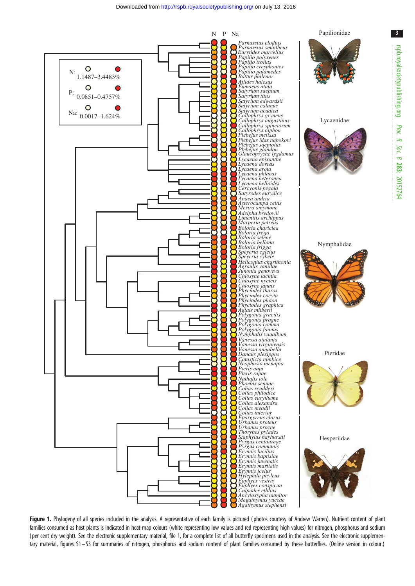<span id="page-2-0"></span>

Figure 1. Phylogeny of all species included in the analysis. A representative of each family is pictured (photos courtesy of Andrew Warren). Nutrient content of plant families consumed as host plants is indicated in heat-map colours (white representing low values and red representing high values) for nitrogen, phosphorus and sodium (per cent dry weight). See the electronic supplementary material, file 1, for a complete list of all butterfly specimens used in the analysis. See the electronic supplementary material, figures S1–S3 for summaries of nitrogen, phosphorus and sodium content of plant families consumed by these butterflies. (Online version in colour.)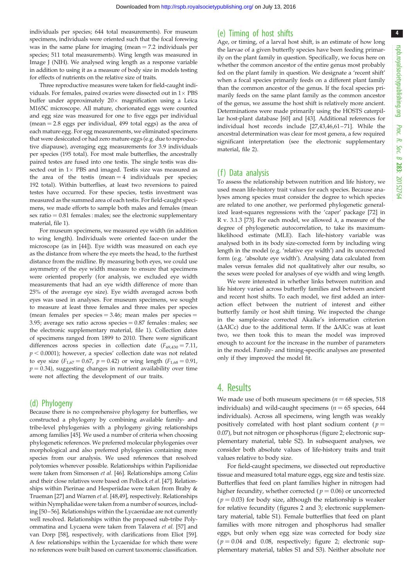individuals per species; 644 total measurements). For museum specimens, individuals were oriented such that the focal forewing was in the same plane for imaging (mean  $= 7.2$  individuals per species; 511 total measurements). Wing length was measured in Image J (NIH). We analysed wing length as a response variable in addition to using it as a measure of body size in models testing for effects of nutrients on the relative size of traits.

Three reproductive measures were taken for field-caught individuals. For females, paired ovaries were dissected out in  $1\times$  PBS buffer under approximately 20 $\times$  magnification using a Leica M165C microscope. All mature, chorionated eggs were counted and egg size was measured for one to five eggs per individual  $(mean = 2.8 \, egs per individual, 499 total eggs)$  as the area of each mature egg. For egg measurements, we eliminated specimens that were desiccated or had zero mature eggs (e.g. due to reproductive diapause), averaging egg measurements for 3.9 individuals per species (195 total). For most male butterflies, the ancestrally paired testes are fused into one testis. The single testis was dissected out in 1 $\times$  PBS and imaged. Testis size was measured as the area of the testis (mean  $=4$  individuals per species; 192 total). Within butterflies, at least two reversions to paired testes have occurred. For these species, testis investment was measured as the summed area of each testis. For field-caught specimens, we made efforts to sample both males and females (mean sex ratio  $= 0.81$  females : males; see the electronic supplementary material, file 1).

For museum specimens, we measured eye width (in addition to wing length). Individuals were oriented face-on under the microscope (as in [\[44\]](#page-7-0)). Eye width was measured on each eye as the distance from where the eye meets the head, to the furthest distance from the midline. By measuring both eyes, we could use asymmetry of the eye width measure to ensure that specimens were oriented properly (for analysis, we excluded eye width measurements that had an eye width difference of more than 25% of the average eye size). Eye width averaged across both eyes was used in analyses. For museum specimens, we sought to measure at least three females and three males per species (mean females per species  $= 3.46$ ; mean males per species  $=$ 3.95; average sex ratio across  $species = 0.87$  females : males; see the electronic supplementary material, file 1). Collection dates of specimens ranged from 1899 to 2010. There were significant differences across species in collection date  $(F_{69,430} = 7.11,$  $p < 0.0001$ ); however, a species' collection date was not related to eye size  $(F_{1,67} = 0.67, p = 0.42)$  or wing length  $(F_{1,68} = 0.91,$  $p = 0.34$ ), suggesting changes in nutrient availability over time were not affecting the development of our traits.

#### (d) Phylogeny

Because there is no comprehensive phylogeny for butterflies, we constructed a phylogeny by combining available family- and tribe-level phylogenies with a phylogeny giving relationships among families [[45](#page-7-0)]. We used a number of criteria when choosing phylogenetic references. We preferred molecular phylogenies over morphological and also preferred phylogenies containing more species from our analysis. We used references that resolved polytomies wherever possible. Relationships within Papilionidae were taken from Simonsen et al. [[46](#page-7-0)]. Relationships among Colias and their close relatives were based on Pollock et al. [\[47\]](#page-7-0). Relationships within Pierinae and Hesperiidae were taken from Braby & Trueman [[27](#page-6-0)] and Warren et al. [[48,49](#page-7-0)], respectively. Relationships within Nymphalidae were taken from a number of sources, including [[50](#page-7-0)–[56\]](#page-7-0). Relationships within the Lycaenidae are not currently well resolved. Relationships within the proposed sub-tribe Polyommatina and Lycaena were taken from Talavera et al. [\[57\]](#page-7-0) and van Dorp [\[58\]](#page-7-0), respectively, with clarifications from Eliot [\[59\]](#page-7-0). A few relationships within the Lycaenidae for which there were no references were built based on current taxonomic classification.

#### (e) Timing of host shifts

Age, or timing, of a larval host shift, is an estimate of how long the larvae of a given butterfly species have been feeding primarily on the plant family in question. Specifically, we focus here on whether the common ancestor of the entire genus most probably fed on the plant family in question. We designate a 'recent shift' when a focal species primarily feeds on a different plant family than the common ancestor of the genus. If the focal species primarily feeds on the same plant family as the common ancestor of the genus, we assume the host shift is relatively more ancient. Determinations were made primarily using the HOSTS caterpillar host-plant database [\[60\]](#page-7-0) and [[43](#page-7-0)]. Additional references for individual host records include [\[27](#page-6-0)[,43,46,61](#page-7-0)-71]. While the ancestral determination was clear for most genera, a few required significant interpretation (see the electronic supplementary material, file 2).

#### (f) Data analysis

To assess the relationship between nutrition and life history, we used mean life-history trait values for each species. Because analyses among species must consider the degree to which species are related to one another, we performed phylogenetic generalized least-squares regressions with the 'caper' package [\[72\]](#page-8-0) in R v. 3.1.3 [\[73\]](#page-8-0). For each model, we allowed  $\lambda$ , a measure of the degree of phylogenetic autocorrelation, to take its maximumlikelihood estimate (MLE). Each life-history variable was analysed both in its body size-corrected form by including wing length in the model (e.g. 'relative eye width') and its uncorrected form (e.g. 'absolute eye width'). Analysing data calculated from males versus females did not qualitatively alter our results, so the sexes were pooled for analyses of eye width and wing length.

We were interested in whether links between nutrition and life history varied across butterfly families and between ancient and recent host shifts. To each model, we first added an interaction effect between the nutrient of interest and either butterfly family or host shift timing. We inspected the change in the sample-size corrected Akaike's information criterion ( $\triangle AICc$ ) due to the additional term. If the  $\triangle AICc$  was at least two, we then took this to mean the model was improved enough to account for the increase in the number of parameters in the model. Family- and timing-specific analyses are presented only if they improved the model fit.

### 4. Results

We made use of both museum specimens ( $n = 68$  species, 518 individuals) and wild-caught specimens ( $n = 65$  species, 644 individuals). Across all specimens, wing length was weakly positively correlated with host plant sodium content ( $p =$ 0.07), but not nitrogen or phosphorus ([figure 2;](#page-4-0) electronic supplementary material, table S2). In subsequent analyses, we consider both absolute values of life-history traits and trait values relative to body size.

For field-caught specimens, we dissected out reproductive tissue and measured total mature eggs, egg size and testis size. Butterflies that feed on plant families higher in nitrogen had higher fecundity, whether corrected ( $p = 0.06$ ) or uncorrected ( $p = 0.03$ ) for body size, although the relationship is weaker for relative fecundity (figures [2](#page-4-0) and [3](#page-4-0); electronic supplementary material, table S1). Female butterflies that feed on plant families with more nitrogen and phosphorus had smaller eggs, but only when egg size was corrected for body size  $(p = 0.04$  and 0.08, respectively; [figure 2;](#page-4-0) electronic supplementary material, tables S1 and S3). Neither absolute nor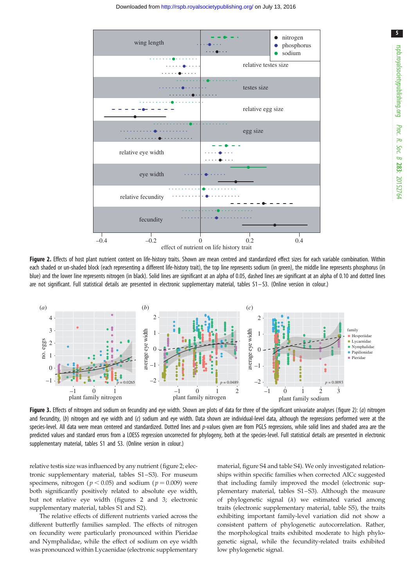<span id="page-4-0"></span>

Figure 2. Effects of host plant nutrient content on life-history traits. Shown are mean centred and standardized effect sizes for each variable combination. Within each shaded or un-shaded block (each representing a different life-history trait), the top line represents sodium (in green), the middle line represents phosphorus (in blue) and the lower line represents nitrogen (in black). Solid lines are significant at an alpha of 0.05, dashed lines are significant at an alpha of 0.10 and dotted lines are not significant. Full statistical details are presented in electronic supplementary material, tables S1– S3. (Online version in colour.)



Figure 3. Effects of nitrogen and sodium on fecundity and eye width. Shown are plots of data for three of the significant univariate analyses (figure 2): (a) nitrogen and fecundity, (b) nitrogen and eye width and (c) sodium and eye width. Data shown are individual-level data, although the regressions performed were at the species-level. All data were mean centered and standardized. Dotted lines and p-values given are from PGLS regressions, while solid lines and shaded area are the predicted values and standard errors from a LOESS regression uncorrected for phylogeny, both at the species-level. Full statistical details are presented in electronic supplementary material, tables S1 and S3. (Online version in colour.)

relative testis size was influenced by any nutrient (figure 2; electronic supplementary material, tables S1–S3). For museum specimens, nitrogen ( $p < 0.05$ ) and sodium ( $p = 0.009$ ) were both significantly positively related to absolute eye width, but not relative eye width (figures 2 and 3; electronic supplementary material, tables S1 and S2).

The relative effects of different nutrients varied across the different butterfly families sampled. The effects of nitrogen on fecundity were particularly pronounced within Pieridae and Nymphalidae, while the effect of sodium on eye width was pronounced within Lycaenidae (electronic supplementary

material, figure S4 and table S4). We only investigated relationships within specific families when corrected AICc suggested that including family improved the model (electronic supplementary material, tables S1–S3). Although the measure of phylogenetic signal  $(\lambda)$  we estimated varied among traits (electronic supplementary material, table S5), the traits exhibiting important family-level variation did not show a consistent pattern of phylogenetic autocorrelation. Rather, the morphological traits exhibited moderate to high phylogenetic signal, while the fecundity-related traits exhibited low phylogenetic signal.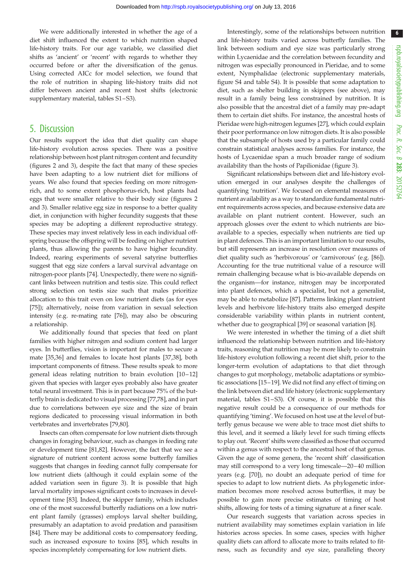We were additionally interested in whether the age of a diet shift influenced the extent to which nutrition shaped life-history traits. For our age variable, we classified diet shifts as 'ancient' or 'recent' with regards to whether they occurred before or after the diversification of the genus. Using corrected AICc for model selection, we found that the role of nutrition in shaping life-history traits did not differ between ancient and recent host shifts (electronic supplementary material, tables S1–S3).

### 5. Discussion

Our results support the idea that diet quality can shape life-history evolution across species. There was a positive relationship between host plant nitrogen content and fecundity (figures [2](#page-4-0) and [3](#page-4-0)), despite the fact that many of these species have been adapting to a low nutrient diet for millions of years. We also found that species feeding on more nitrogenrich, and to some extent phosphorus-rich, host plants had eggs that were smaller relative to their body size (figures [2](#page-4-0) and [3](#page-4-0)). Smaller relative egg size in response to a better quality diet, in conjunction with higher fecundity suggests that these species may be adopting a different reproductive strategy. These species may invest relatively less in each individual offspring because the offspring will be feeding on higher nutrient plants, thus allowing the parents to have higher fecundity. Indeed, rearing experiments of several satyrine butterflies suggest that egg size confers a larval survival advantage on nitrogen-poor plants [[74\]](#page-8-0). Unexpectedly, there were no significant links between nutrition and testis size. This could reflect strong selection on testis size such that males prioritize allocation to this trait even on low nutrient diets (as for eyes [\[75](#page-8-0)]); alternatively, noise from variation in sexual selection intensity (e.g. re-mating rate [\[76](#page-8-0)]), may also be obscuring a relationship.

We additionally found that species that feed on plant families with higher nitrogen and sodium content had larger eyes. In butterflies, vision is important for males to secure a mate [\[35](#page-7-0),[36](#page-7-0)] and females to locate host plants [[37,38\]](#page-7-0), both important components of fitness. These results speak to more general ideas relating nutrition to brain evolution [\[10](#page-6-0)–[12\]](#page-6-0) given that species with larger eyes probably also have greater total neural investment. This is in part because 75% of the butterfly brain is dedicated to visual processing [[77,78\]](#page-8-0), and in part due to correlations between eye size and the size of brain regions dedicated to processing visual information in both vertebrates and invertebrates [[79,80\]](#page-8-0).

Insects can often compensate for low nutrient diets through changes in foraging behaviour, such as changes in feeding rate or development time [[81,82\]](#page-8-0). However, the fact that we see a signature of nutrient content across some butterfly families suggests that changes in feeding cannot fully compensate for low nutrient diets (although it could explain some of the added variation seen in [figure 3](#page-4-0)). It is possible that high larval mortality imposes significant costs to increases in development time [\[83](#page-8-0)]. Indeed, the skipper family, which includes one of the most successful butterfly radiations on a low nutrient plant family (grasses) employs larval shelter building, presumably an adaptation to avoid predation and parasitism [\[84](#page-8-0)]. There may be additional costs to compensatory feeding, such as increased exposure to toxins [[85\]](#page-8-0), which results in species incompletely compensating for low nutrient diets.

Interestingly, some of the relationships between nutrition and life-history traits varied across butterfly families. The link between sodium and eye size was particularly strong within Lycaenidae and the correlation between fecundity and nitrogen was especially pronounced in Pieridae, and to some extent, Nymphalidae (electronic supplementary materials, figure S4 and table S4). It is possible that some adaptation to diet, such as shelter building in skippers (see above), may result in a family being less constrained by nutrition. It is also possible that the ancestral diet of a family may pre-adapt them to certain diet shifts. For instance, the ancestral hosts of Pieridae were high-nitrogen legumes [[27\]](#page-6-0), which could explain their poor performance on low nitrogen diets. It is also possible that the subsample of hosts used by a particular family could constrain statistical analyses across families. For instance, the hosts of Lycaenidae span a much broader range of sodium availability than the hosts of Papilionidae [\(figure 3\)](#page-4-0).

Significant relationships between diet and life-history evolution emerged in our analyses despite the challenges of quantifying 'nutrition'. We focused on elemental measures of nutrient availability as a way to standardize fundamental nutrient requirements across species, and because extensive data are available on plant nutrient content. However, such an approach glosses over the extent to which nutrients are bioavailable to a species, especially when nutrients are tied up in plant defences. This is an important limitation to our results, but still represents an increase in resolution over measures of diet quality such as 'herbivorous' or 'carnivorous' (e.g. [[86\]](#page-8-0)). Accounting for the true nutritional value of a resource will remain challenging because what is bio-available depends on the organism—for instance, nitrogen may be incorporated into plant defences, which a specialist, but not a generalist, may be able to metabolize [[87\]](#page-8-0). Patterns linking plant nutrient levels and herbivore life-history traits also emerged despite considerable variability within plants in nutrient content, whether due to geographical [[39\]](#page-7-0) or seasonal variation [[8](#page-6-0)].

We were interested in whether the timing of a diet shift influenced the relationship between nutrition and life-history traits, reasoning that nutrition may be more likely to constrain life-history evolution following a recent diet shift, prior to the longer-term evolution of adaptations to that diet through changes to gut morphology, metabolic adaptations or symbiotic associations [[15](#page-6-0)–[19](#page-6-0)]. We did not find any effect of timing on the link between diet and life history (electronic supplementary material, tables S1–S3). Of course, it is possible that this negative result could be a consequence of our methods for quantifying 'timing'. We focused on host use at the level of butterfly genus because we were able to trace most diet shifts to this level, and it seemed a likely level for such timing effects to play out. 'Recent' shifts were classified as those that occurred within a genus with respect to the ancestral host of that genus. Given the age of some genera, the 'recent shift' classification may still correspond to a very long timescale—20–40 million years (e.g. [\[70](#page-7-0)]), no doubt an adequate period of time for species to adapt to low nutrient diets. As phylogenetic information becomes more resolved across butterflies, it may be possible to gain more precise estimates of timing of host shifts, allowing for tests of a timing signature at a finer scale.

Our research suggests that variation across species in nutrient availability may sometimes explain variation in life histories across species. In some cases, species with higher quality diets can afford to allocate more to traits related to fitness, such as fecundity and eye size, paralleling theory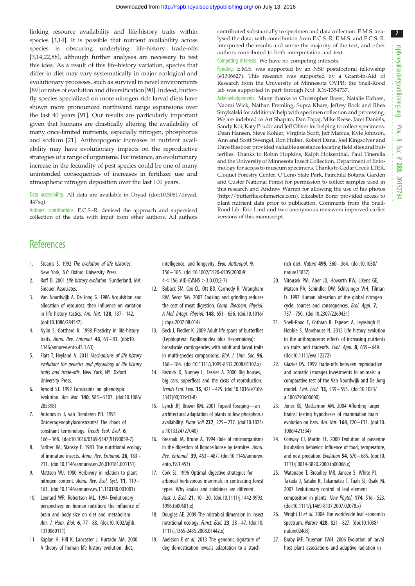rspb.royalsocietypublishing.org Proc. R. Soc. $\sigma$ 283: 20152764 7

<span id="page-6-0"></span>linking resource availability and life-history traits within species [3,14]. It is possible that nutrient availability across species is obscuring underlying life-history trade-offs [3,14,22,[88\]](#page-8-0), although further analyses are necessary to test this idea. As a result of this life-history variation, species that differ in diet may vary systematically in major ecological and evolutionary processes, such as survival in novel environments [\[89](#page-8-0)] or rates of evolution and diversification [\[90\]](#page-8-0). Indeed, butterfly species specialized on more nitrogen rich larval diets have shown more pronounced northward range expansions over the last 40 years [[91](#page-8-0)]. Our results are particularly important given that humans are drastically altering the availability of many once-limited nutrients, especially nitrogen, phosphorus and sodium [21]. Anthropogenic increases in nutrient availability may have evolutionary impacts on the reproductive strategies of a range of organisms. For instance, an evolutionary increase in the fecundity of pest species could be one of many unintended consequences of increases in fertilizer use and atmospheric nitrogen deposition over the last 100 years.

Data accessibility. All data are available in Dryad [\(doi:10.5061/dryad.](http://dx.doi.org/10.5061/dryad.447sq) [447sq](http://dx.doi.org/10.5061/dryad.447sq)).

Authors' contributions. E.C.S.-R. devised the approach and supervised collection of the data with input from other authors. All authors

#### contributed substantially to specimen and data collection. E.M.S. analysed the data, with contribution from E.C.S.-R. E.M.S. and E.C.S.-R. interpreted the results and wrote the majority of the text, and other authors contributed to both interpretation and text.

Competing interests. We have no competing interests.

Funding. E.M.S. was supported by an NSF postdoctoral fellowship (#1306627). This research was supported by a Grant-in-Aid of Research from the University of Minnesota OVPR; the Snell-Rood lab was supported in part through NSF IOS-1354737.

Acknowledgements. Many thanks to Christopher Boser, Natalie Eichten, Naomi Wick, Nathan Fremling, Supra Khare, Jeffrey Rock and Rhea Smykalski for additional help with specimen collection and processing. We are indebted to Art Shapiro, Dan Papaj, Mike Reese, Jaret Daniels, Sandy Koi, Katy Prudic and Jeff Oliver for helping to collect specimens. Dean Hansen, Steve Kohler, Virginia Scott, Jeff Marcus, Kyle Johnson, Ann and Scott Swengel, Ron Huber, Robert Dana, Joel Kingsolver and Dave Biesboer provided valuable assistance locating field sites and butterflies. Thanks to Robin Hopkins, Ralph Holzenthal, Paul Tinerella and the University of Minnesota Insect Collection, Department of Entomology for access to museum specimens. Thanks to Cedar Creek LTER, Cloquet Forestry Center, O'Leno State Park, Fairchild Botanic Garden and Custer National Forest for permission to collect samples used in this research and Andrew Warren for allowing the use of his photos [\(http://butterfliesofamerica.com\)](http://butterfliesofamerica.com). Elizabeth Borer provided access to plant nutrient data prior to publication. Comments from the Snell-Rood lab, Eric Lind and two anonymous reviewers improved earlier versions of this manuscript.

# **References**

- 1. Stearns S. 1992 The evolution of life histories. New York, NY: Oxford University Press.
- 2. Roff D. 2001 Life history evolution. Sunderland, MA: Sinauer Associates.
- 3. Van Noordwijk A, De Jong G. 1986 Acquisition and allocation of resources: their influence on variation in life history tactics. Am. Nat.  $128$ ,  $137 - 142$ . [\(doi:10.1086/284547](http://dx.doi.org/10.1086/284547))
- 4. Nylin S, Gotthard K. 1998 Plasticity in life-history traits. Annu. Rev. Entomol. 43, 63 – 83. [\(doi:10.](http://dx.doi.org/10.1146/annurev.ento.43.1.63) [1146/annurev.ento.43.1.63](http://dx.doi.org/10.1146/annurev.ento.43.1.63))
- 5. Flatt T, Heyland A. 2011 Mechanisms of life history evolution: the genetics and physiology of life history traits and trade-offs. New York, NY: Oxford University Press.
- 6. Arnold SJ. 1992 Constraints on phenotypic evolution. Am. Nat. 140, S85– S107. [\(doi:10.1086/](http://dx.doi.org/10.1086/285398) [285398](http://dx.doi.org/10.1086/285398))
- 7. Antonovics J, van Tienderen PH. 1991 Ontoecogenophyloconstraints? The chaos of constraint terminology. Trends Ecol. Evol. 6, 166– 168. ([doi:10.1016/0169-5347\(91\)90059-7](http://dx.doi.org/10.1016/0169-5347(91)90059-7))
- 8. Scriber JM, Slansky F. 1981 The nutritional ecology of immature insects. Annu. Rev. Entomol. 26, 183– 211. [\(doi:10.1146/annurev.en.26.010181.001151\)](http://dx.doi.org/10.1146/annurev.en.26.010181.001151)
- 9. Mattson WJ. 1980 Herbivory in relation to plant nitrogen content. Annu. Rev. Ecol. Syst. 11, 119– 161. [\(doi:10.1146/annurev.es.11.110180.001003\)](http://dx.doi.org/10.1146/annurev.es.11.110180.001003)
- 10. Leonard WR, Robertson ML. 1994 Evolutionary perspectives on human nutrition: the influence of brain and body size on diet and metabolism. Am. J. Hum. Biol. 6, 77 – 88. [\(doi:10.1002/ajhb.](http://dx.doi.org/10.1002/ajhb.1310060111) [1310060111\)](http://dx.doi.org/10.1002/ajhb.1310060111)
- 11. Kaplan H, Hill K, Lancaster J, Hurtado AM. 2000 A theory of human life history evolution: diet,

intelligence, and longevity. Evol. Anthropol. 9, 156 – 185. [\(doi:10.1002/1520-6505\(2000\)9:](http://dx.doi.org/10.1002/1520-6505(2000)9:4%3C156::AID-EVAN5%3E3.0.CO;2-7) [4](http://dx.doi.org/10.1002/1520-6505(2000)9:4%3C156::AID-EVAN5%3E3.0.CO;2-7) < 156:: AID-EVAN5 > 3.0.CO; 2-7)

- 12. Boback SM, Cox CL, Ott BD, Carmody R, Wrangham RW, Secor SM. 2007 Cooking and grinding reduces the cost of meat digestion. Comp. Biochem. Physiol. A Mol. Integr. Physiol. 148, 651– 656. [\(doi:10.1016/](http://dx.doi.org/10.1016/j.cbpa.2007.08.014) [j.cbpa.2007.08.014\)](http://dx.doi.org/10.1016/j.cbpa.2007.08.014)
- 13. Beck J, Fiedler K. 2009 Adult life spans of butterflies (Lepidoptera: Papilionoidea plus Hesperioidea): broadscale contingencies with adult and larval traits in multi-species comparisons. Biol. J. Linn. Soc. 96, 166 – 184. [\(doi:10.1111/j.1095-8312.2008.01102.x](http://dx.doi.org/10.1111/j.1095-8312.2008.01102.x))
- 14. Reznick D, Nunney L, Tessier A. 2000 Big houses, big cars, superfleas and the costs of reproduction. Trends Ecol. Evol. 15, 421– 425. ([doi:10.1016/s0169-](http://dx.doi.org/10.1016/s0169-5347(00)01941-8) [5347\(00\)01941-8](http://dx.doi.org/10.1016/s0169-5347(00)01941-8))
- 15. Lynch JP, Brown KM. 2001 Topsoil foraging—an architectural adaptation of plants to low phosphorus availability. Plant Soil 237, 225 – 237. [\(doi:10.1023/](http://dx.doi.org/10.1023/a:1013324727040) [a:1013324727040\)](http://dx.doi.org/10.1023/a:1013324727040)
- 16. Breznak JA, Brune A. 1994 Role of microorganisms in the digestion of lignocellulose by termites. Annu. Rev. Entomol. 39, 453– 487. [\(doi:10.1146/annurev.](http://dx.doi.org/10.1146/annurev.ento.39.1.453) [ento.39.1.453\)](http://dx.doi.org/10.1146/annurev.ento.39.1.453)
- 17. Cork SJ. 1996 Optimal digestive strategies for arboreal herbivorous mammals in contrasting forest types. Why koalas and colobines are different. Aust. J. Ecol. 21, 10– 20. ([doi:10.1111/j.1442-9993.](http://dx.doi.org/10.1111/j.1442-9993.1996.tb00581.x) [1996.tb00581.x](http://dx.doi.org/10.1111/j.1442-9993.1996.tb00581.x))
- 18. Douglas AE. 2009 The microbial dimension in insect nutritional ecology. Funct. Ecol. 23, 38 – 47. [\(doi:10.](http://dx.doi.org/10.1111/j.1365-2435.2008.01442.x) [1111/j.1365-2435.2008.01442.x](http://dx.doi.org/10.1111/j.1365-2435.2008.01442.x))
- 19. Axelsson E et al. 2013 The genomic signature of dog domestication reveals adaptation to a starch-

rich diet. Nature 495, 360 – 364. [\(doi:10.1038/](http://dx.doi.org/10.1038/nature11837) [nature11837](http://dx.doi.org/10.1038/nature11837))

- 20. Vitousek PM, Aber JD, Howarth RW, Likens GE, Matson PA, Schindler DW, Schlesinger WH, Tilman D. 1997 Human alteration of the global nitrogen cycle: sources and consequences. Ecol. Appl. 7, 737– 750. [\(doi:10.2307/2269431](http://dx.doi.org/10.2307/2269431))
- 21. Snell-Rood E, Cothran R, Espeset A, Jeyasingh P, Hobbie S, Morehouse N. 2015 Life history evolution in the anthropocene: effects of increasing nutrients on traits and tradeoffs. Evol. Appl. 8, 635– 649. ([doi:10.1111/eva.12272\)](http://dx.doi.org/10.1111/eva.12272)
- 22. Glazier DS. 1999 Trade-offs between reproductive and somatic (storage) investments in animals: a comparative test of the Van Noordwijk and De Jong model. Evol. Ecol. 13, 539– 555. [\(doi:10.1023/](http://dx.doi.org/10.1023/a:1006793600600) [a:1006793600600](http://dx.doi.org/10.1023/a:1006793600600))
- 23. Jones KE, MacLarnon AM. 2004 Affording larger brains: testing hypotheses of mammalian brain evolution on bats. Am. Nat. 164, E20 – E31. [\(doi:10.](http://dx.doi.org/10.1086/421334) [1086/421334\)](http://dx.doi.org/10.1086/421334)
- 24. Conway CJ, Martin TE. 2000 Evolution of passerine incubation behavior: influence of food, temperature, and nest predation. Evolution 54, 670 - 685. [\(doi:10.](http://dx.doi.org/10.1111/j.0014-3820.2000.tb00068.x) [1111/j.0014-3820.2000.tb00068.x\)](http://dx.doi.org/10.1111/j.0014-3820.2000.tb00068.x)
- 25. Watanabe T, Broadley MR, Jansen S, White PJ, Takada J, Satake K, Takamatsu T, Tuah SJ, Osaki M. 2007 Evolutionary control of leaf element composition in plants. New Phytol. 174, 516-523. ([doi:10.1111/j.1469-8137.2007.02078.x\)](http://dx.doi.org/10.1111/j.1469-8137.2007.02078.x)
- 26. Wright IJ et al. 2004 The worldwide leaf economics spectrum. Nature 428, 821 – 827. [\(doi:10.1038/](http://dx.doi.org/10.1038/nature02403) [nature02403](http://dx.doi.org/10.1038/nature02403))
- 27. Braby MF, Trueman JWH. 2006 Evolution of larval host plant associations and adaptive radiation in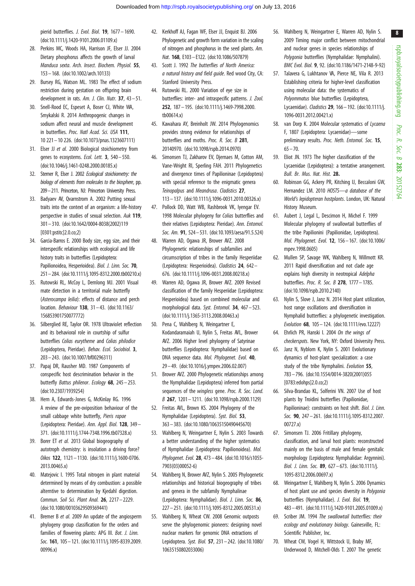<span id="page-7-0"></span>pierid butterflies. J. Evol. Biol. 19, 1677-1690. [\(doi:10.1111/j.1420-9101.2006.01109.x](http://dx.doi.org/10.1111/j.1420-9101.2006.01109.x))

- 28. Perkins MC, Woods HA, Harrison JF, Elser JJ. 2004 Dietary phosphorus affects the growth of larval Manduca sexta. Arch. Insect. Biochem. Physiol. 55, 153– 168. ([doi:10.1002/arch.10133](http://dx.doi.org/10.1002/arch.10133))
- 29. Bursey RG, Watson ML. 1983 The effect of sodium restriction during gestation on offspring brain development in rats. Am. J. Clin. Nutr.  $37, 43 - 51$ .
- 30. Snell-Rood EC, Espeset A, Boser CJ, White WA, Smykalski R. 2014 Anthropogenic changes in sodium affect neural and muscle development in butterflies. Proc. Natl Acad. Sci. USA 111, 10 221– 10 226. ([doi:10.1073/pnas.1323607111](http://dx.doi.org/10.1073/pnas.1323607111))
- 31. Elser JJ et al. 2000 Biological stoichiometry from genes to ecosystems. Ecol. Lett. 3, 540– 550. [\(doi:10.1046/j.1461-0248.2000.00185.x](http://dx.doi.org/10.1046/j.1461-0248.2000.00185.x))
- 32. Sterner R, Elser J. 2002 Ecological stoichiometry: the biology of elements from molecules to the biosphere, pp. 209–211. Princeton, NJ: Princeton University Press.
- 33. Badyaev AV, Qvarnstrom A. 2002 Putting sexual traits into the context of an organism: a life-history perspective in studies of sexual selection. Auk 119, 301– 310. ([doi:10.1642/0004-8038\(2002\)119](http://dx.doi.org/10.1642/0004-8038(2002)119[0301:pstitc]2.0.co;2) [\[0301:pstitc\]2.0.co;2\)](http://dx.doi.org/10.1642/0004-8038(2002)119[0301:pstitc]2.0.co;2)
- 34. Garcia-Barros E. 2000 Body size, egg size, and their interspecific relationships with ecological and life history traits in butterflies (Lepidoptera: Papilionoidea, Hesperioidea). Biol. J. Linn. Soc. 70, 251–284. ([doi:10.1111/j.1095-8312.2000.tb00210.x\)](http://dx.doi.org/10.1111/j.1095-8312.2000.tb00210.x)
- 35. Rutowski RL, McCoy L, Demlong MJ. 2001 Visual mate detection in a territorial male butterfly (Asterocampa leilia): effects of distance and perch location. Behaviour 138, 31 – 43. ([doi:10.1163/](http://dx.doi.org/10.1163/156853901750077772) [156853901750077772\)](http://dx.doi.org/10.1163/156853901750077772)
- 36. Silberglied RE, Taylor OR. 1978 Ultraviolet reflection and its behavioral role in courtship of sulfur butterflies Colias eurytheme and Colias philodice (Lepidoptera, Pieridae). Behav. Ecol. Sociobiol. 3, 203– 243. ([doi:10.1007/bf00296311\)](http://dx.doi.org/10.1007/bf00296311)
- 37. Papaj DR, Rausher MD. 1987 Components of conspecific host descrimination behavior in the butterfly Battus philenor. Ecology 68, 245– 253. [\(doi:10.2307/1939254\)](http://dx.doi.org/10.2307/1939254)
- 38. Hern A, Edwards-Jones G, McKinlay RG. 1996 A review of the pre-oviposition behaviour of the small cabbage white butterfly, Pieris rapae (Lepidoptera: Pieridae). Ann. Appl. Biol. 128, 349– 371. [\(doi:10.1111/j.1744-7348.1996.tb07328.x\)](http://dx.doi.org/10.1111/j.1744-7348.1996.tb07328.x)
- 39. Borer ET et al. 2013 Global biogeography of autotroph chemistry: is insolation a driving force? Oikos 122, 1121– 1130. [\(doi:10.1111/j.1600-0706.](http://dx.doi.org/10.1111/j.1600-0706.2013.00465.x) [2013.00465.x\)](http://dx.doi.org/10.1111/j.1600-0706.2013.00465.x)
- 40. Matejovic I. 1995 Total nitrogen in plant material determined by means of dry combustion: a possible alterntive to determination by Kjedahl digestion. Commun. Soil Sci. Plant Anal. 26, 2217– 2229. [\(doi:10.1080/00103629509369441](http://dx.doi.org/10.1080/00103629509369441))
- 41. Bremer B et al. 2009 An update of the angiosperm phylogeny group classification for the orders and families of flowering plants: APG III. Bot. J. Linn. Soc. 161, 105– 121. ([doi:10.1111/j.1095-8339.2009.](http://dx.doi.org/10.1111/j.1095-8339.2009.00996.x) [00996.x\)](http://dx.doi.org/10.1111/j.1095-8339.2009.00996.x)
- 42. Kerkhoff AJ, Fagan WF, Elser JJ, Enquist BJ. 2006 Phylogenetic and growth form variation in the scaling of nitrogen and phosphorus in the seed plants. Am. Nat. 168, E103– E122. [\(doi:10.1086/507879](http://dx.doi.org/10.1086/507879))
- 43. Scott J. 1992 The butterflies of North America: a natural history and field guide. Red wood City, CA: Stanford University Press.
- 44. Rutowski RL. 2000 Variation of eye size in butterflies: inter- and intraspecific patterns. J. Zool. 252, 187 – 195. [\(doi:10.1111/j.1469-7998.2000.](http://dx.doi.org/10.1111/j.1469-7998.2000.tb00614.x) [tb00614.x](http://dx.doi.org/10.1111/j.1469-7998.2000.tb00614.x))
- 45. Kawahara AY, Breinholt JW. 2014 Phylogenomics provides strong evidence for relationships of butterflies and moths. Proc. R. Soc. B 281, 20140970. ([doi:10.1098/rspb.2014.0970\)](http://dx.doi.org/10.1098/rspb.2014.0970)
- 46. Simonsen TJ, Zakharov EV, Djernaes M, Cotton AM, Vane-Wright RI, Sperling FAH. 2011 Phylogenetics and divergence times of Papilioninae (Lepidoptera) with special reference to the enigmatic genera Teinopalpus and Meandrusa. Cladistics 27, 113 – 137. [\(doi:10.1111/j.1096-0031.2010.00326.x](http://dx.doi.org/10.1111/j.1096-0031.2010.00326.x))
- 47. Pollock DD, Watt WB, Rashbrook VK, Iyengar EV. 1998 Molecular phylogeny for Colias butterflies and their relatives (Lepidoptera: Pieridae). Ann. Entomol. Soc. Am. 91, 524– 531. [\(doi:10.1093/aesa/91.5.524\)](http://dx.doi.org/10.1093/aesa/91.5.524)
- 48. Warren AD, Ogawa JR, Brower AVZ. 2008 Phylogenetic relationships of subfamilies and circumscription of tribes in the family Hesperiidae (Lepidoptera: Hesperioidea). Cladistics 24, 642– 676. ([doi:10.1111/j.1096-0031.2008.00218.x\)](http://dx.doi.org/10.1111/j.1096-0031.2008.00218.x)
- 49. Warren AD, Ogawa JR, Brower AVZ. 2009 Revised classification of the family Hesperiidae (Lepidoptera: Hesperioidea) based on combined molecular and morphological data. Syst. Entomol. 34, 467 - 523. [\(doi:10.1111/j.1365-3113.2008.00463.x\)](http://dx.doi.org/10.1111/j.1365-3113.2008.00463.x)
- 50. Pena C, Wahlberg N, Weingartner E, Kodandaramaiah U, Nylin S, Freitas AVL, Brower AVZ. 2006 Higher level phylogeny of Satyrinae butterflies (Lepidoptera: Nymphalidae) based on DNA sequence data. Mol. Phylogenet. Evol. 40. 29 – 49. ([doi:10.1016/j.ympev.2006.02.007](http://dx.doi.org/10.1016/j.ympev.2006.02.007))
- 51. Brower AVZ. 2000 Phylogenetic relationships among the Nymphalidae (Lepidoptera) inferred from partial sequences of the wingless gene. Proc. R. Soc. Lond. B 267, 1201– 1211. ([doi:10.1098/rspb.2000.1129](http://dx.doi.org/10.1098/rspb.2000.1129))
- 52. Freitas AVL, Brown KS. 2004 Phylogeny of the Nymphalidae (Lepidoptera). Syst. Biol. 53, 363 – 383. [\(doi:10.1080/10635150490445670](http://dx.doi.org/10.1080/10635150490445670))
- 53. Wahlberg N, Weingartner E, Nylin S. 2003 Towards a better understanding of the higher systematics of Nymphalidae (Lepidoptera: Papilionoidea). Mol. Phylogenet. Evol. 28, 473– 484. ([doi:10.1016/s1055-](http://dx.doi.org/10.1016/s1055-7903(03)00052-6) [7903\(03\)00052-6](http://dx.doi.org/10.1016/s1055-7903(03)00052-6))
- 54. Wahlberg N, Brower AVZ, Nylin S. 2005 Phylogenetic relationships and historical biogeography of tribes and genera in the subfamily Nymphalinae (Lepidoptera: Nymphalidae). Biol. J. Linn. Soc. 86, 227 – 251. [\(doi:10.1111/j.1095-8312.2005.00531.x](http://dx.doi.org/10.1111/j.1095-8312.2005.00531.x))
- 55. Wahlberg N, Wheat CW. 2008 Genomic outposts serve the phylogenomic pioneers: designing novel nuclear markers for genomic DNA extractions of Lepidoptera. Syst. Biol. 57, 231 – 242. [\(doi:10.1080/](http://dx.doi.org/10.1080/10635150802033006) [10635150802033006](http://dx.doi.org/10.1080/10635150802033006))
- 56. Wahlberg N, Weingartner E, Warren AD, Nylin S. 2009 Timing major conflict between mitochondrial and nuclear genes in species relationships of Polygonia butterflies (Nymphalidae: Nymphalini). BMC Evol. Biol. 9, 92. ([doi:10.1186/1471-2148-9-92](http://dx.doi.org/10.1186/1471-2148-9-92))
- 57. Talavera G, Lukhtanov VA, Pierce NE, Vila R. 2013 Establishing criteria for higher-level classification using molecular data: the systematics of Polyommatus blue butterflies (Lepidoptera, Lycaenidae). Cladistics 29, 166– 192. ([doi:10.1111/j.](http://dx.doi.org/10.1111/j.1096-0031.2012.00421.x) [1096-0031.2012.00421.x\)](http://dx.doi.org/10.1111/j.1096-0031.2012.00421.x)
- 58. van Dorp K. 2004 Molecular systematics of Lycaena F, 1807 (Lepidoptera: Lycaenidae)—some preliminary results. Proc. Neth. Entomol. Soc. 15,  $65 - 70.$
- 59. Eliot JN. 1973 The higher classification of the Lycaenidae (Lepidoptera): a tentative arrangement. Bull. Br. Mus. Nat. Hist. 28.
- 60. Robinson GG, Ackery PR, Kitching IJ, Beccaloni GW, Hernandez LM. 2010 HOSTS—a database of the World's lepidopteran hostplants. London, UK: Natural History Museum.
- 61. Aubert J, Legal L, Descimon H, Michel F. 1999 Molecular phylogeny of swallowtail butterflies of the tribe Papilionini (Papilionidae, Lepidoptera). Mol. Phylogenet. Evol. 12, 156 – 167. [\(doi:10.1006/](http://dx.doi.org/10.1006/mpev.1998.0605) [mpev.1998.0605](http://dx.doi.org/10.1006/mpev.1998.0605))
- 62. Mullen SP, Savage WK, Wahlberg N, Willmott KR. 2011 Rapid diversification and not clade age explains high diversity in neotropical Adelpha butterflies. Proc. R. Soc. B 278, 1777 – 1785. ([doi:10.1098/rspb.2010.2140\)](http://dx.doi.org/10.1098/rspb.2010.2140)
- 63. Nylin S, Slove J, Janz N. 2014 Host plant utilization, host range oscillations and diversification in Nymphalid butterflies: a phylogenetic investigation. Evolution 68, 105– 124. [\(doi:10.1111/evo.12227\)](http://dx.doi.org/10.1111/evo.12227)
- 64. Ehrlich PR, Hanski I. 2004 On the wings of checkerspots. New York, NY: Oxford University Press.
- 65. Janz N, Nyblom K, Nylin S. 2001 Evolutionary dynamics of host-plant specialization: a case study of the tribe Nymphalini. Evolution 55, 783– 796. [\(doi:10.1554/0014-3820\(2001\)055](http://dx.doi.org/10.1554/0014-3820(2001)055[0783:edohps]2.0.co;2) [\[0783:edohps\]2.0.co;2](http://dx.doi.org/10.1554/0014-3820(2001)055[0783:edohps]2.0.co;2))
- 66. Silva-Brandao KL, Solferini VN. 2007 Use of host plants by Troidini butterflies (Papilionidae, Papilioninae): constraints on host shift. Biol. J. Linn. Soc. 90, 247-261. ([doi:10.1111/j.1095-8312.2007.](http://dx.doi.org/10.1111/j.1095-8312.2007.00727.x) [00727.x](http://dx.doi.org/10.1111/j.1095-8312.2007.00727.x))
- 67. Simonsen TJ. 2006 Fritillary phylogeny, classification, and larval host plants: reconstructed mainly on the basis of male and female genitalic morphology (Lepidoptera: Nymphalidae: Argynnini). Biol. J. Linn. Soc. 89, 627 – 673. ([doi:10.1111/j.](http://dx.doi.org/10.1111/j.1095-8312.2006.00697.x) [1095-8312.2006.00697.x\)](http://dx.doi.org/10.1111/j.1095-8312.2006.00697.x)
- 68. Weingartner E, Wahlberg N, Nylin S. 2006 Dynamics of host plant use and species diversity in Polygonia butterflies (Nymphalidae). J. Evol. Biol. 19, 483– 491. [\(doi:10.1111/j.1420-9101.2005.01009.x\)](http://dx.doi.org/10.1111/j.1420-9101.2005.01009.x)
- 69. Scriber JM. 1994 The swallowtail butterflies: their ecology and evolutionary biology. Gainesville, FL: Scientific Publisher, Inc.
- 70. Wheat CW, Vogel H, Wittstock U, Braby MF, Underwood D, Mitchell-Olds T. 2007 The genetic